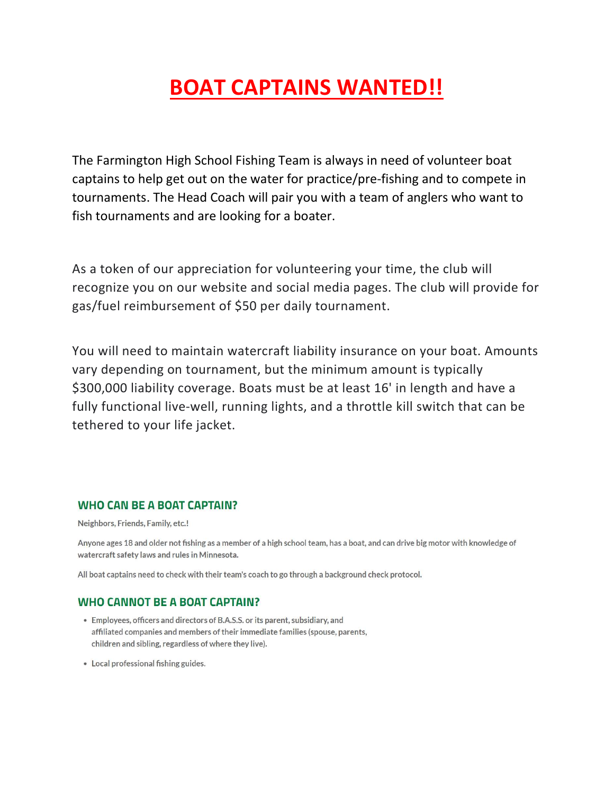# BOAT CAPTAINS WANTED!!

The Farmington High School Fishing Team is always in need of volunteer boat captains to help get out on the water for practice/pre-fishing and to compete in tournaments. The Head Coach will pair you with a team of anglers who want to fish tournaments and are looking for a boater.

As a token of our appreciation for volunteering your time, the club will recognize you on our website and social media pages. The club will provide for gas/fuel reimbursement of \$50 per daily tournament.

You will need to maintain watercraft liability insurance on your boat. Amounts vary depending on tournament, but the minimum amount is typically \$300,000 liability coverage. Boats must be at least 16' in length and have a fully functional live-well, running lights, and a throttle kill switch that can be tethered to your life jacket.

#### **WHO CAN BE A BOAT CAPTAIN?**

Neighbors, Friends, Family, etc.!

Anyone ages 18 and older not fishing as a member of a high school team, has a boat, and can drive big motor with knowledge of watercraft safety laws and rules in Minnesota.

All boat captains need to check with their team's coach to go through a background check protocol.

#### **WHO CANNOT BE A BOAT CAPTAIN?**

- Employees, officers and directors of B.A.S.S. or its parent, subsidiary, and affiliated companies and members of their immediate families (spouse, parents, children and sibling, regardless of where they live).
- Local professional fishing guides.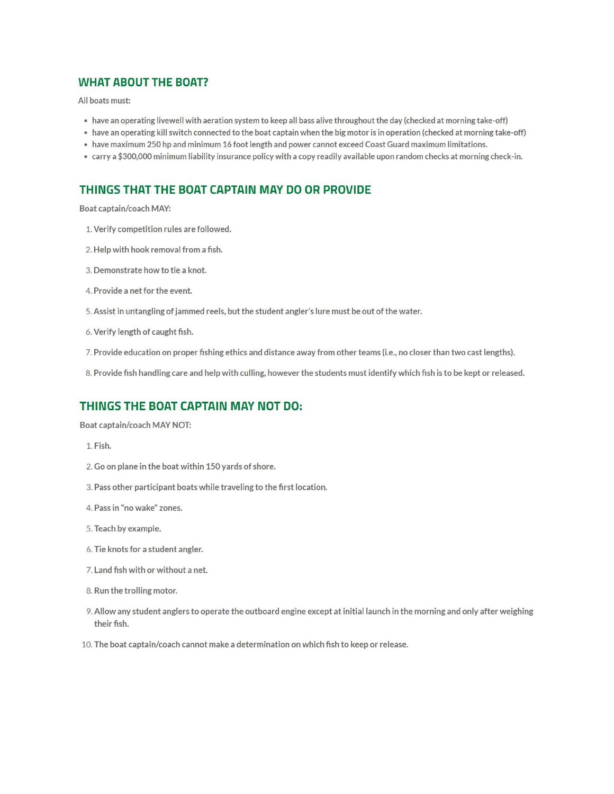#### **WHAT ABOUT THE BOAT?**

All boats must:

- . have an operating livewell with aeration system to keep all bass alive throughout the day (checked at morning take-off)
- have an operating kill switch connected to the boat captain when the big motor is in operation (checked at morning take-off)
- . have maximum 250 hp and minimum 16 foot length and power cannot exceed Coast Guard maximum limitations.
- carry a \$300,000 minimum liability insurance policy with a copy readily available upon random checks at morning check-in.

## THINGS THAT THE BOAT CAPTAIN MAY DO OR PROVIDE

Boat captain/coach MAY:

- 1. Verify competition rules are followed.
- 2. Help with hook removal from a fish.
- 3. Demonstrate how to tie a knot.
- 4. Provide a net for the event.
- 5. Assist in untangling of jammed reels, but the student angler's lure must be out of the water.
- 6. Verify length of caught fish.
- 7. Provide education on proper fishing ethics and distance away from other teams (i.e., no closer than two cast lengths).
- 8. Provide fish handling care and help with culling, however the students must identify which fish is to be kept or released.

## THINGS THE BOAT CAPTAIN MAY NOT DO:

Boat captain/coach MAY NOT:

- 1. Fish.
- 2. Go on plane in the boat within 150 yards of shore.
- 3. Pass other participant boats while traveling to the first location.
- 4. Pass in "no wake" zones.
- 5. Teach by example.
- 6. Tie knots for a student angler.
- 7. Land fish with or without a net.
- 8. Run the trolling motor.
- 9. Allow any student anglers to operate the outboard engine except at initial launch in the morning and only after weighing their fish.
- 10. The boat captain/coach cannot make a determination on which fish to keep or release.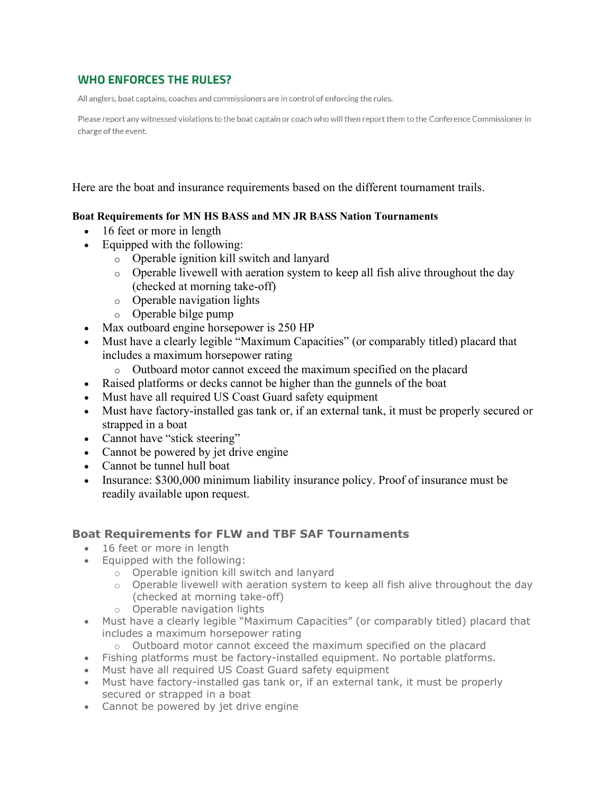# **WHO ENFORCES THE RULES?**

All anglers, boat captains, coaches and commissioners are in control of enforcing the rules.

Please report any witnessed violations to the boat captain or coach who will then report them to the Conference Commissioner in charge of the event.

Here are the boat and insurance requirements based on the different tournament trails.

#### Boat Requirements for MN HS BASS and MN JR BASS Nation Tournaments

- 16 feet or more in length
- Equipped with the following:
	- o Operable ignition kill switch and lanyard
		- o Operable livewell with aeration system to keep all fish alive throughout the day (checked at morning take-off)
		- o Operable navigation lights
		- o Operable bilge pump
- Max outboard engine horsepower is 250 HP
- Must have a clearly legible "Maximum Capacities" (or comparably titled) placard that includes a maximum horsepower rating
	- o Outboard motor cannot exceed the maximum specified on the placard
- Raised platforms or decks cannot be higher than the gunnels of the boat
- Must have all required US Coast Guard safety equipment
- Must have factory-installed gas tank or, if an external tank, it must be properly secured or strapped in a boat
- Cannot have "stick steering"
- Cannot be powered by jet drive engine
- Cannot be tunnel hull boat
- Insurance: \$300,000 minimum liability insurance policy. Proof of insurance must be readily available upon request.

## Boat Requirements for FLW and TBF SAF Tournaments

- 16 feet or more in length
- Equipped with the following:
	- o Operable ignition kill switch and lanyard
	- $\circ$  Operable livewell with aeration system to keep all fish alive throughout the day (checked at morning take-off)
	- o Operable navigation lights
- Must have a clearly legible "Maximum Capacities" (or comparably titled) placard that includes a maximum horsepower rating
	- o Outboard motor cannot exceed the maximum specified on the placard
- Fishing platforms must be factory-installed equipment. No portable platforms.
- Must have all required US Coast Guard safety equipment
- Must have factory-installed gas tank or, if an external tank, it must be properly secured or strapped in a boat
- Cannot be powered by jet drive engine